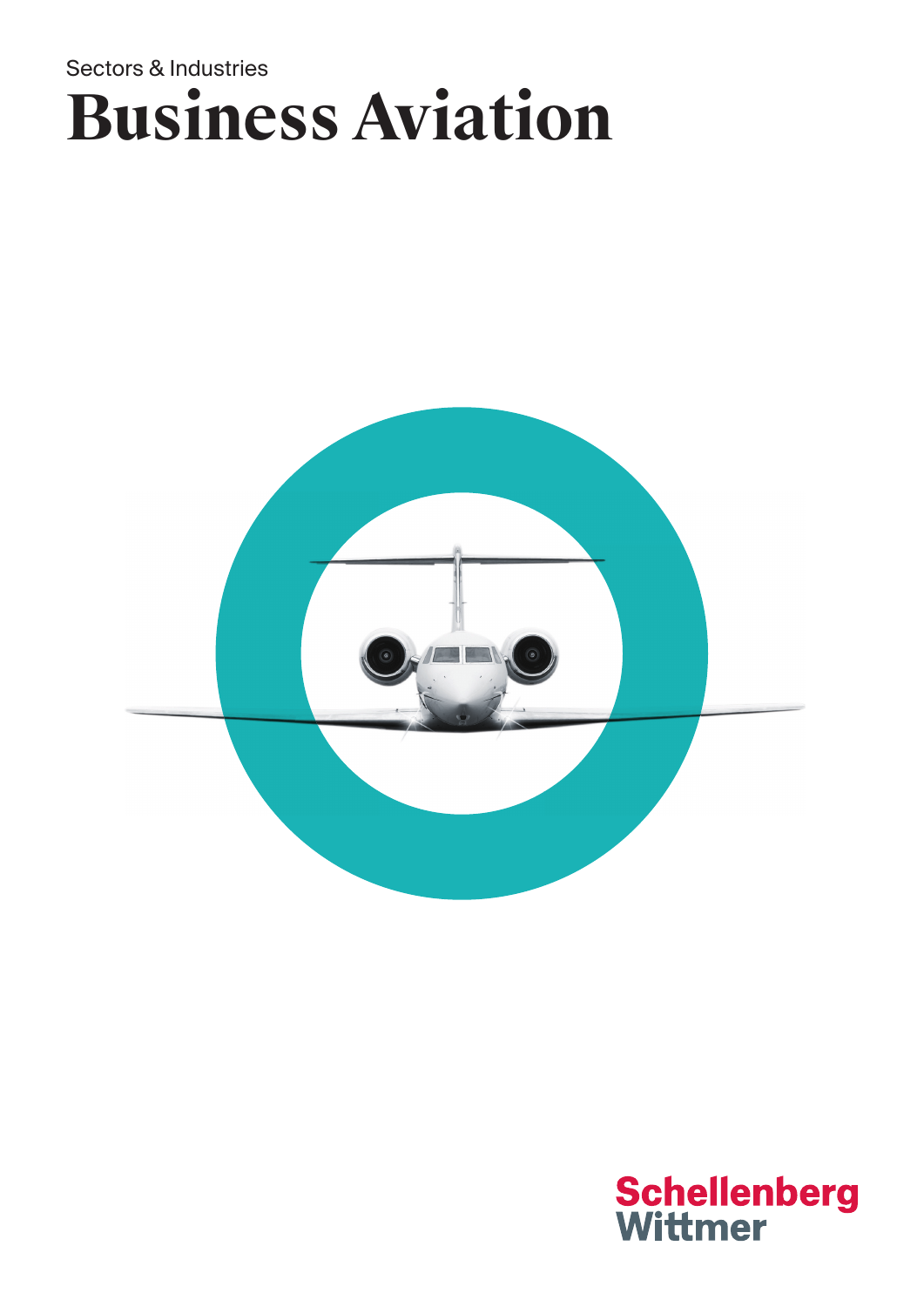# Sectors & Industries **Business Aviation**



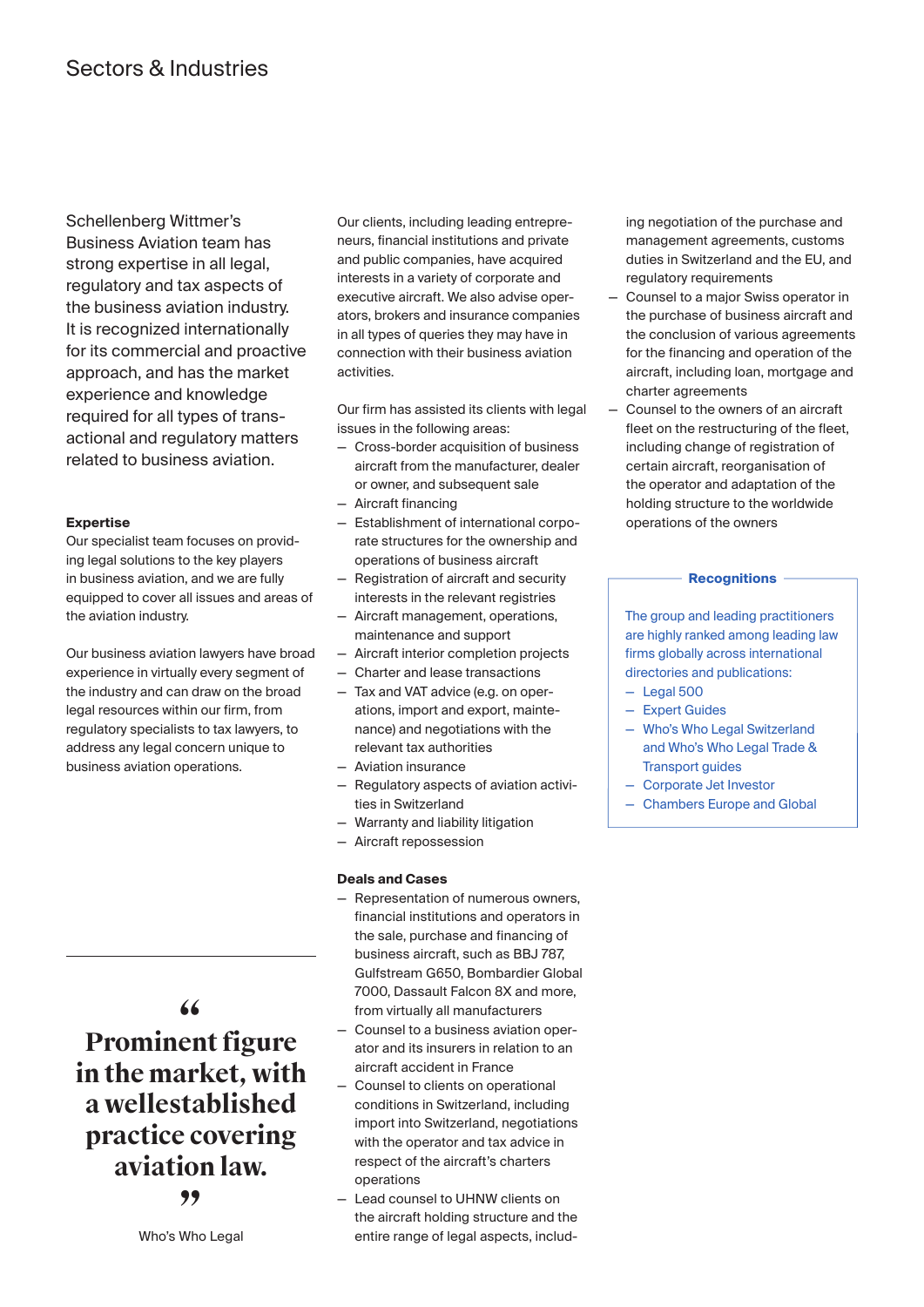Schellenberg Wittmer's Business Aviation team has strong expertise in all legal, regulatory and tax aspects of the business aviation industry. It is recognized internationally for its commercial and proactive approach, and has the market experience and knowledge required for all types of transactional and regulatory matters related to business aviation.

# **Expertise**

Our specialist team focuses on providing legal solutions to the key players in business aviation, and we are fully equipped to cover all issues and areas of the aviation industry.

Our business aviation lawyers have broad experience in virtually every segment of the industry and can draw on the broad legal resources within our firm, from regulatory specialists to tax lawyers, to address any legal concern unique to business aviation operations.

**" Prominent figure in the market, with a wellestablished practice covering aviation law. "**

Our clients, including leading entrepreneurs, financial institutions and private and public companies, have acquired interests in a variety of corporate and executive aircraft. We also advise operators, brokers and insurance companies in all types of queries they may have in connection with their business aviation activities.

Our firm has assisted its clients with legal issues in the following areas:

- Cross-border acquisition of business aircraft from the manufacturer, dealer or owner, and subsequent sale
- Aircraft financing
- Establishment of international corporate structures for the ownership and operations of business aircraft
- Registration of aircraft and security interests in the relevant registries
- Aircraft management, operations, maintenance and support
- Aircraft interior completion projects
- Charter and lease transactions
- Tax and VAT advice (e.g. on operations, import and export, maintenance) and negotiations with the relevant tax authorities
- Aviation insurance
- Regulatory aspects of aviation activities in Switzerland
- Warranty and liability litigation
- Aircraft repossession

# **Deals and Cases**

- Representation of numerous owners, financial institutions and operators in the sale, purchase and financing of business aircraft, such as BBJ 787, Gulfstream G650, Bombardier Global 7000, Dassault Falcon 8X and more, from virtually all manufacturers
- Counsel to a business aviation operator and its insurers in relation to an aircraft accident in France
- Counsel to clients on operational conditions in Switzerland, including import into Switzerland, negotiations with the operator and tax advice in respect of the aircraft's charters operations
- Lead counsel to UHNW clients on the aircraft holding structure and the entire range of legal aspects, includ-

ing negotiation of the purchase and management agreements, customs duties in Switzerland and the EU, and regulatory requirements

- Counsel to a major Swiss operator in the purchase of business aircraft and the conclusion of various agreements for the financing and operation of the aircraft, including loan, mortgage and charter agreements
- Counsel to the owners of an aircraft fleet on the restructuring of the fleet, including change of registration of certain aircraft, reorganisation of the operator and adaptation of the holding structure to the worldwide operations of the owners

## **Recognitions**

The group and leading practitioners are highly ranked among leading law firms globally across international directories and publications:

- Legal 500
- Expert Guides
- Who's Who Legal Switzerland and Who's Who Legal Trade & Transport guides
- Corporate Jet Investor
- Chambers Europe and Global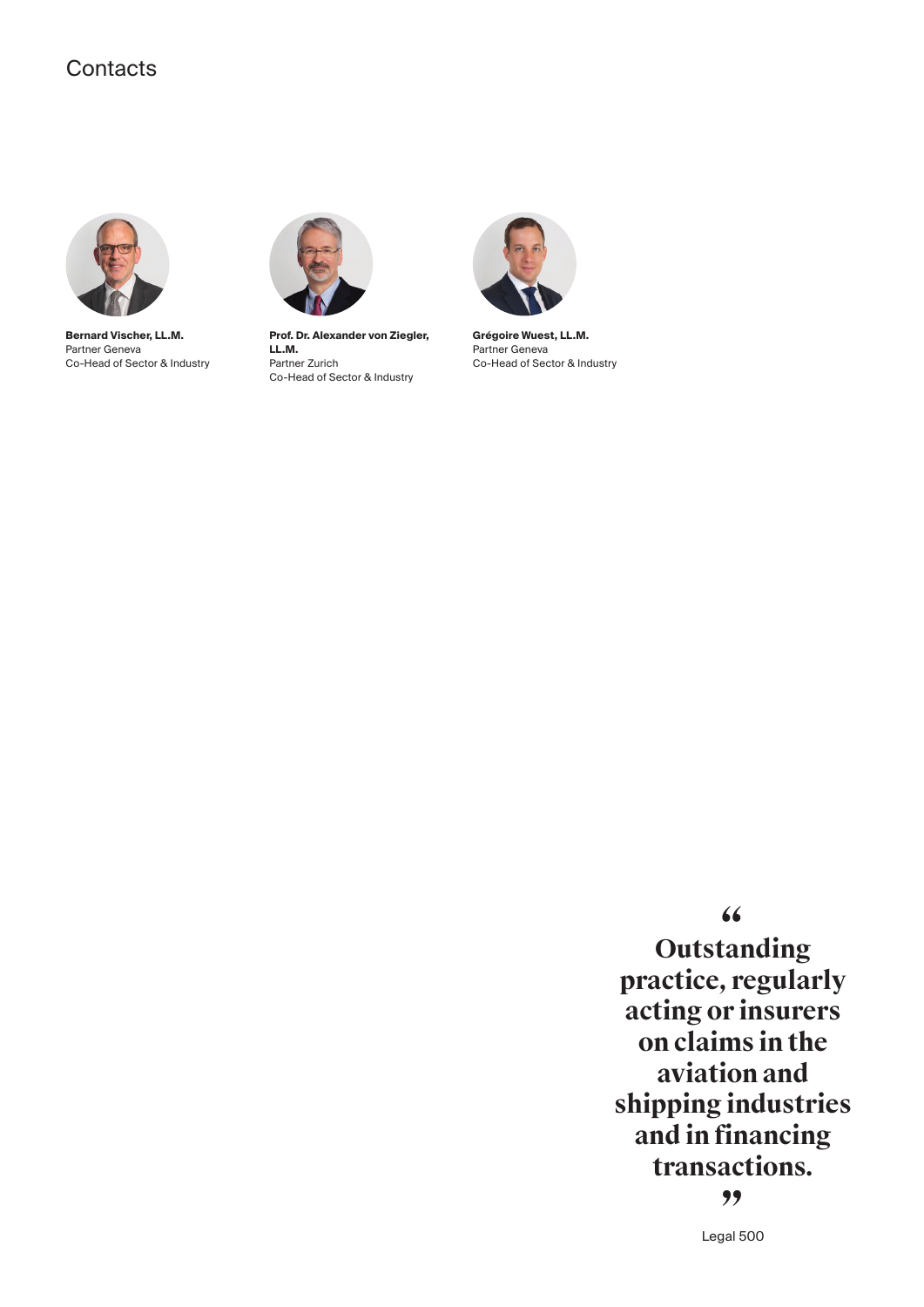# **Contacts**



**Bernard Vischer, LL.M.** Partner Geneva Co-Head of Sector & Industry



**Prof. Dr. Alexander von Ziegler, LL.M.** Partner Zurich Co-Head of Sector & Industry



**Grégoire Wuest, LL.M.** Partner Geneva Co-Head of Sector & Industry

**" Outstanding practice, regularly acting or insurers on claims in the aviation and shipping industries and in financing transactions. "**

Legal 500